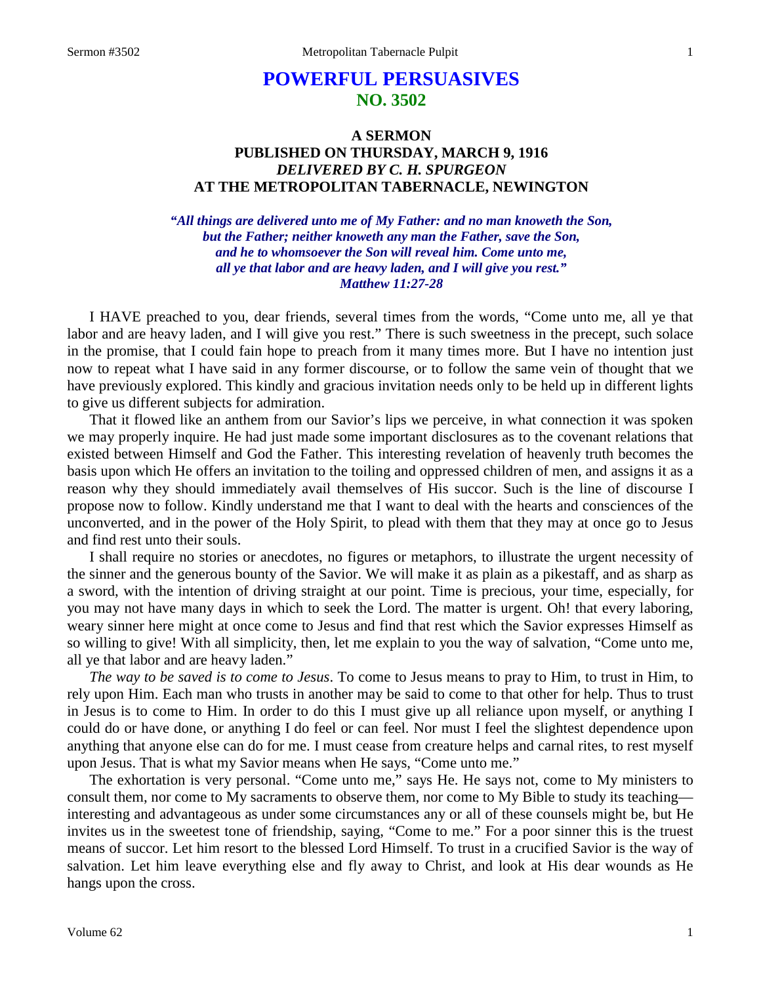# **POWERFUL PERSUASIVES NO. 3502**

# **A SERMON PUBLISHED ON THURSDAY, MARCH 9, 1916** *DELIVERED BY C. H. SPURGEON* **AT THE METROPOLITAN TABERNACLE, NEWINGTON**

*"All things are delivered unto me of My Father: and no man knoweth the Son, but the Father; neither knoweth any man the Father, save the Son, and he to whomsoever the Son will reveal him. Come unto me, all ye that labor and are heavy laden, and I will give you rest." Matthew 11:27-28*

I HAVE preached to you, dear friends, several times from the words, "Come unto me, all ye that labor and are heavy laden, and I will give you rest." There is such sweetness in the precept, such solace in the promise, that I could fain hope to preach from it many times more. But I have no intention just now to repeat what I have said in any former discourse, or to follow the same vein of thought that we have previously explored. This kindly and gracious invitation needs only to be held up in different lights to give us different subjects for admiration.

That it flowed like an anthem from our Savior's lips we perceive, in what connection it was spoken we may properly inquire. He had just made some important disclosures as to the covenant relations that existed between Himself and God the Father. This interesting revelation of heavenly truth becomes the basis upon which He offers an invitation to the toiling and oppressed children of men, and assigns it as a reason why they should immediately avail themselves of His succor. Such is the line of discourse I propose now to follow. Kindly understand me that I want to deal with the hearts and consciences of the unconverted, and in the power of the Holy Spirit, to plead with them that they may at once go to Jesus and find rest unto their souls.

I shall require no stories or anecdotes, no figures or metaphors, to illustrate the urgent necessity of the sinner and the generous bounty of the Savior. We will make it as plain as a pikestaff, and as sharp as a sword, with the intention of driving straight at our point. Time is precious, your time, especially, for you may not have many days in which to seek the Lord. The matter is urgent. Oh! that every laboring, weary sinner here might at once come to Jesus and find that rest which the Savior expresses Himself as so willing to give! With all simplicity, then, let me explain to you the way of salvation, "Come unto me, all ye that labor and are heavy laden."

*The way to be saved is to come to Jesus*. To come to Jesus means to pray to Him, to trust in Him, to rely upon Him. Each man who trusts in another may be said to come to that other for help. Thus to trust in Jesus is to come to Him. In order to do this I must give up all reliance upon myself, or anything I could do or have done, or anything I do feel or can feel. Nor must I feel the slightest dependence upon anything that anyone else can do for me. I must cease from creature helps and carnal rites, to rest myself upon Jesus. That is what my Savior means when He says, "Come unto me."

The exhortation is very personal. "Come unto me," says He. He says not, come to My ministers to consult them, nor come to My sacraments to observe them, nor come to My Bible to study its teaching interesting and advantageous as under some circumstances any or all of these counsels might be, but He invites us in the sweetest tone of friendship, saying, "Come to me." For a poor sinner this is the truest means of succor. Let him resort to the blessed Lord Himself. To trust in a crucified Savior is the way of salvation. Let him leave everything else and fly away to Christ, and look at His dear wounds as He hangs upon the cross.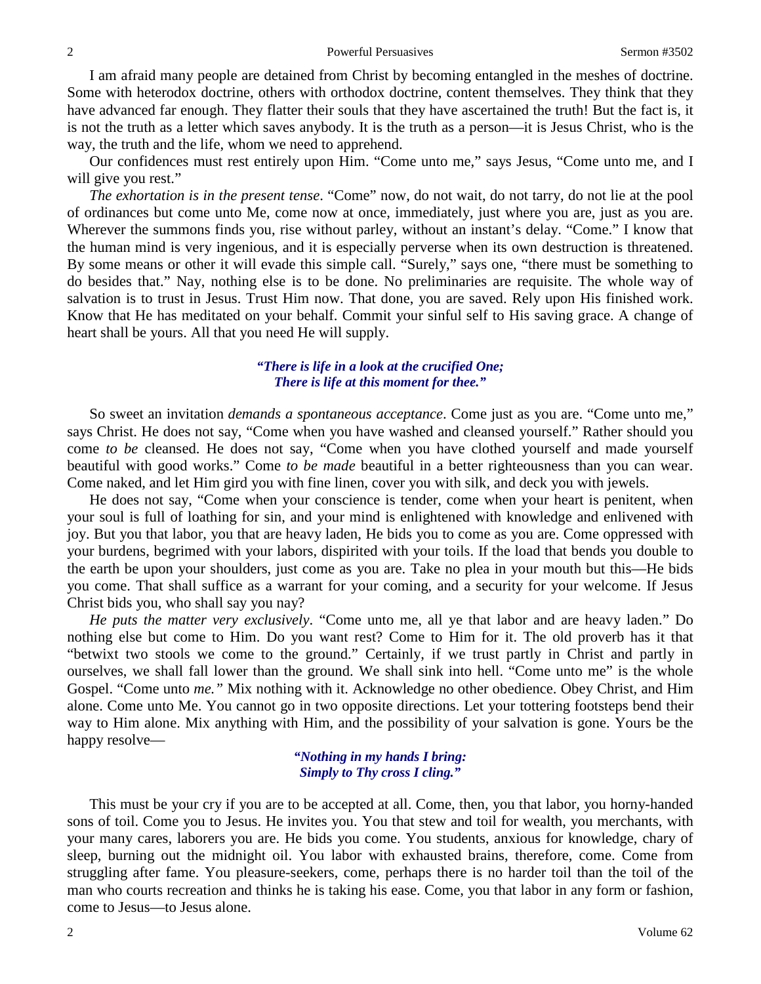I am afraid many people are detained from Christ by becoming entangled in the meshes of doctrine. Some with heterodox doctrine, others with orthodox doctrine, content themselves. They think that they have advanced far enough. They flatter their souls that they have ascertained the truth! But the fact is, it is not the truth as a letter which saves anybody. It is the truth as a person—it is Jesus Christ, who is the way, the truth and the life, whom we need to apprehend.

Our confidences must rest entirely upon Him. "Come unto me," says Jesus, "Come unto me, and I will give you rest."

*The exhortation is in the present tense*. "Come" now, do not wait, do not tarry, do not lie at the pool of ordinances but come unto Me, come now at once, immediately, just where you are, just as you are. Wherever the summons finds you, rise without parley, without an instant's delay. "Come." I know that the human mind is very ingenious, and it is especially perverse when its own destruction is threatened. By some means or other it will evade this simple call. "Surely," says one, "there must be something to do besides that." Nay, nothing else is to be done. No preliminaries are requisite. The whole way of salvation is to trust in Jesus. Trust Him now. That done, you are saved. Rely upon His finished work. Know that He has meditated on your behalf. Commit your sinful self to His saving grace. A change of heart shall be yours. All that you need He will supply.

### *"There is life in a look at the crucified One; There is life at this moment for thee."*

So sweet an invitation *demands a spontaneous acceptance*. Come just as you are. "Come unto me," says Christ. He does not say, "Come when you have washed and cleansed yourself." Rather should you come *to be* cleansed. He does not say, "Come when you have clothed yourself and made yourself beautiful with good works." Come *to be made* beautiful in a better righteousness than you can wear. Come naked, and let Him gird you with fine linen, cover you with silk, and deck you with jewels.

He does not say, "Come when your conscience is tender, come when your heart is penitent, when your soul is full of loathing for sin, and your mind is enlightened with knowledge and enlivened with joy. But you that labor, you that are heavy laden, He bids you to come as you are. Come oppressed with your burdens, begrimed with your labors, dispirited with your toils. If the load that bends you double to the earth be upon your shoulders, just come as you are. Take no plea in your mouth but this—He bids you come. That shall suffice as a warrant for your coming, and a security for your welcome. If Jesus Christ bids you, who shall say you nay?

*He puts the matter very exclusively*. "Come unto me, all ye that labor and are heavy laden." Do nothing else but come to Him. Do you want rest? Come to Him for it. The old proverb has it that "betwixt two stools we come to the ground." Certainly, if we trust partly in Christ and partly in ourselves, we shall fall lower than the ground. We shall sink into hell. "Come unto me" is the whole Gospel. "Come unto *me."* Mix nothing with it. Acknowledge no other obedience. Obey Christ, and Him alone. Come unto Me. You cannot go in two opposite directions. Let your tottering footsteps bend their way to Him alone. Mix anything with Him, and the possibility of your salvation is gone. Yours be the happy resolve—

> *"Nothing in my hands I bring: Simply to Thy cross I cling."*

This must be your cry if you are to be accepted at all. Come, then, you that labor, you horny-handed sons of toil. Come you to Jesus. He invites you. You that stew and toil for wealth, you merchants, with your many cares, laborers you are. He bids you come. You students, anxious for knowledge, chary of sleep, burning out the midnight oil. You labor with exhausted brains, therefore, come. Come from struggling after fame. You pleasure-seekers, come, perhaps there is no harder toil than the toil of the man who courts recreation and thinks he is taking his ease. Come, you that labor in any form or fashion, come to Jesus—to Jesus alone.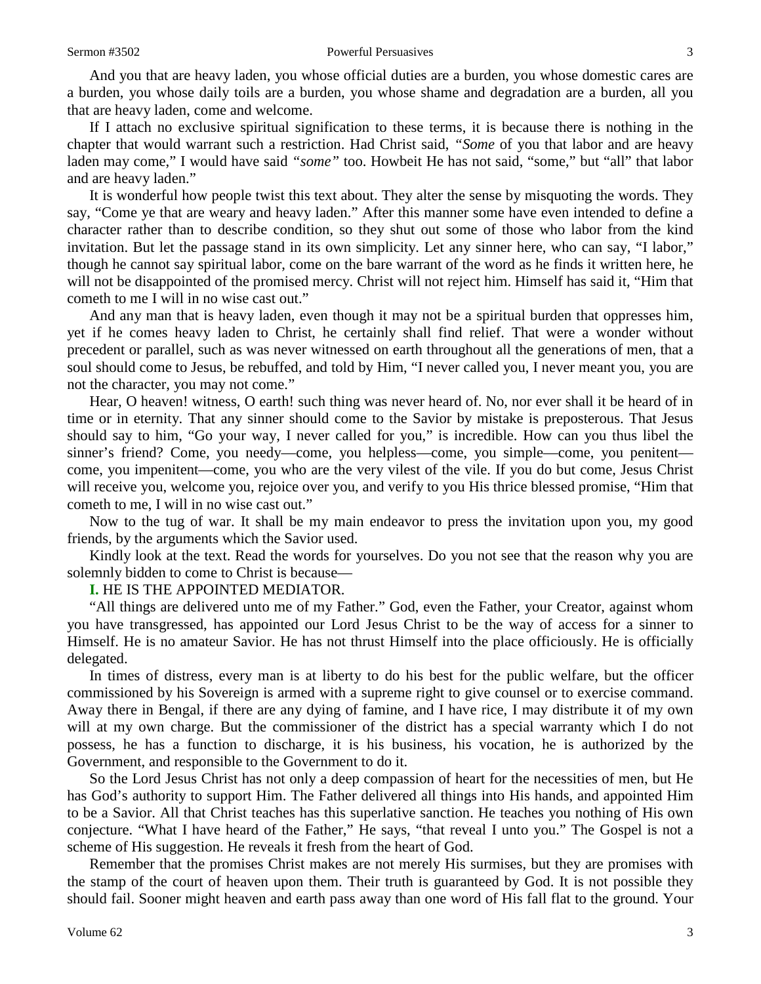And you that are heavy laden, you whose official duties are a burden, you whose domestic cares are a burden, you whose daily toils are a burden, you whose shame and degradation are a burden, all you that are heavy laden, come and welcome.

If I attach no exclusive spiritual signification to these terms, it is because there is nothing in the chapter that would warrant such a restriction. Had Christ said, *"Some* of you that labor and are heavy laden may come," I would have said *"some"* too. Howbeit He has not said, "some," but "all" that labor and are heavy laden."

It is wonderful how people twist this text about. They alter the sense by misquoting the words. They say, "Come ye that are weary and heavy laden." After this manner some have even intended to define a character rather than to describe condition, so they shut out some of those who labor from the kind invitation. But let the passage stand in its own simplicity. Let any sinner here, who can say, "I labor," though he cannot say spiritual labor, come on the bare warrant of the word as he finds it written here, he will not be disappointed of the promised mercy. Christ will not reject him. Himself has said it, "Him that cometh to me I will in no wise cast out."

And any man that is heavy laden, even though it may not be a spiritual burden that oppresses him, yet if he comes heavy laden to Christ, he certainly shall find relief. That were a wonder without precedent or parallel, such as was never witnessed on earth throughout all the generations of men, that a soul should come to Jesus, be rebuffed, and told by Him, "I never called you, I never meant you, you are not the character, you may not come."

Hear, O heaven! witness, O earth! such thing was never heard of. No, nor ever shall it be heard of in time or in eternity. That any sinner should come to the Savior by mistake is preposterous. That Jesus should say to him, "Go your way, I never called for you," is incredible. How can you thus libel the sinner's friend? Come, you needy—come, you helpless—come, you simple—come, you penitent come, you impenitent—come, you who are the very vilest of the vile. If you do but come, Jesus Christ will receive you, welcome you, rejoice over you, and verify to you His thrice blessed promise, "Him that cometh to me, I will in no wise cast out."

Now to the tug of war. It shall be my main endeavor to press the invitation upon you, my good friends, by the arguments which the Savior used.

Kindly look at the text. Read the words for yourselves. Do you not see that the reason why you are solemnly bidden to come to Christ is because—

**I.** HE IS THE APPOINTED MEDIATOR.

"All things are delivered unto me of my Father." God, even the Father, your Creator, against whom you have transgressed, has appointed our Lord Jesus Christ to be the way of access for a sinner to Himself. He is no amateur Savior. He has not thrust Himself into the place officiously. He is officially delegated.

In times of distress, every man is at liberty to do his best for the public welfare, but the officer commissioned by his Sovereign is armed with a supreme right to give counsel or to exercise command. Away there in Bengal, if there are any dying of famine, and I have rice, I may distribute it of my own will at my own charge. But the commissioner of the district has a special warranty which I do not possess, he has a function to discharge, it is his business, his vocation, he is authorized by the Government, and responsible to the Government to do it.

So the Lord Jesus Christ has not only a deep compassion of heart for the necessities of men, but He has God's authority to support Him. The Father delivered all things into His hands, and appointed Him to be a Savior. All that Christ teaches has this superlative sanction. He teaches you nothing of His own conjecture. "What I have heard of the Father," He says, "that reveal I unto you." The Gospel is not a scheme of His suggestion. He reveals it fresh from the heart of God.

Remember that the promises Christ makes are not merely His surmises, but they are promises with the stamp of the court of heaven upon them. Their truth is guaranteed by God. It is not possible they should fail. Sooner might heaven and earth pass away than one word of His fall flat to the ground. Your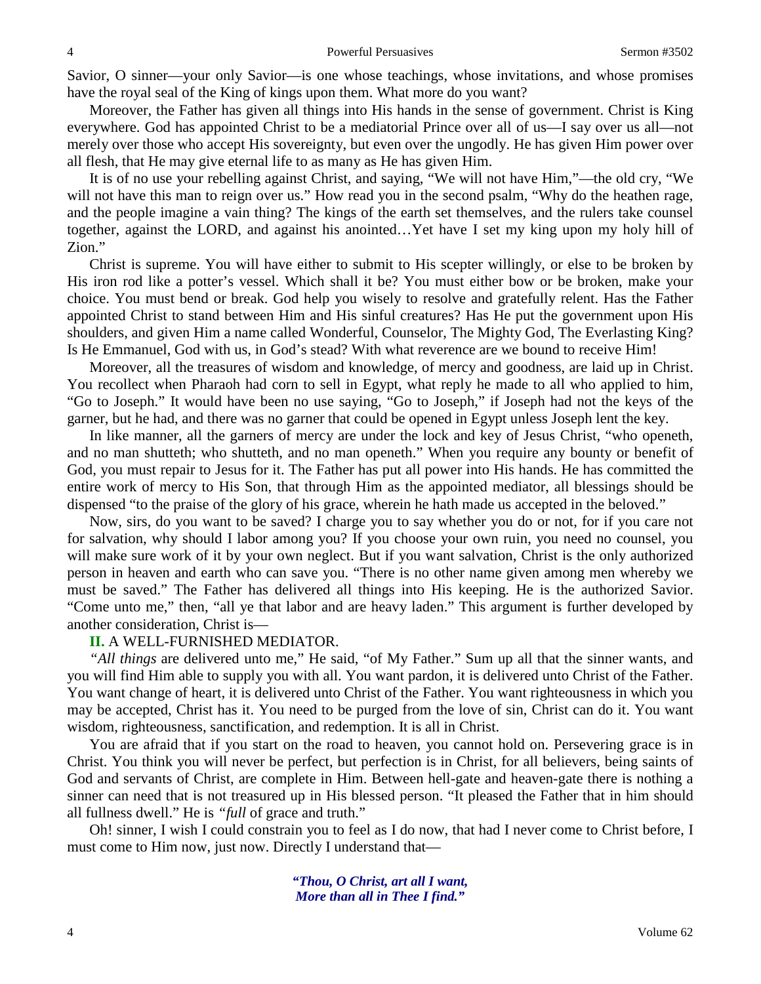Savior, O sinner—your only Savior—is one whose teachings, whose invitations, and whose promises have the royal seal of the King of kings upon them. What more do you want?

Moreover, the Father has given all things into His hands in the sense of government. Christ is King everywhere. God has appointed Christ to be a mediatorial Prince over all of us—I say over us all—not merely over those who accept His sovereignty, but even over the ungodly. He has given Him power over all flesh, that He may give eternal life to as many as He has given Him.

It is of no use your rebelling against Christ, and saying, "We will not have Him,"—the old cry, "We will not have this man to reign over us." How read you in the second psalm, "Why do the heathen rage, and the people imagine a vain thing? The kings of the earth set themselves, and the rulers take counsel together, against the LORD, and against his anointed…Yet have I set my king upon my holy hill of Zion."

Christ is supreme. You will have either to submit to His scepter willingly, or else to be broken by His iron rod like a potter's vessel. Which shall it be? You must either bow or be broken, make your choice. You must bend or break. God help you wisely to resolve and gratefully relent. Has the Father appointed Christ to stand between Him and His sinful creatures? Has He put the government upon His shoulders, and given Him a name called Wonderful, Counselor, The Mighty God, The Everlasting King? Is He Emmanuel, God with us, in God's stead? With what reverence are we bound to receive Him!

Moreover, all the treasures of wisdom and knowledge, of mercy and goodness, are laid up in Christ. You recollect when Pharaoh had corn to sell in Egypt, what reply he made to all who applied to him, "Go to Joseph." It would have been no use saying, "Go to Joseph," if Joseph had not the keys of the garner, but he had, and there was no garner that could be opened in Egypt unless Joseph lent the key.

In like manner, all the garners of mercy are under the lock and key of Jesus Christ, "who openeth, and no man shutteth; who shutteth, and no man openeth." When you require any bounty or benefit of God, you must repair to Jesus for it. The Father has put all power into His hands. He has committed the entire work of mercy to His Son, that through Him as the appointed mediator, all blessings should be dispensed "to the praise of the glory of his grace, wherein he hath made us accepted in the beloved."

Now, sirs, do you want to be saved? I charge you to say whether you do or not, for if you care not for salvation, why should I labor among you? If you choose your own ruin, you need no counsel, you will make sure work of it by your own neglect. But if you want salvation, Christ is the only authorized person in heaven and earth who can save you. "There is no other name given among men whereby we must be saved." The Father has delivered all things into His keeping. He is the authorized Savior. "Come unto me," then, "all ye that labor and are heavy laden." This argument is further developed by another consideration, Christ is—

#### **II.** A WELL-FURNISHED MEDIATOR.

*"All things* are delivered unto me," He said, "of My Father." Sum up all that the sinner wants, and you will find Him able to supply you with all. You want pardon, it is delivered unto Christ of the Father. You want change of heart, it is delivered unto Christ of the Father. You want righteousness in which you may be accepted, Christ has it. You need to be purged from the love of sin, Christ can do it. You want wisdom, righteousness, sanctification, and redemption. It is all in Christ.

You are afraid that if you start on the road to heaven, you cannot hold on. Persevering grace is in Christ. You think you will never be perfect, but perfection is in Christ, for all believers, being saints of God and servants of Christ, are complete in Him. Between hell-gate and heaven-gate there is nothing a sinner can need that is not treasured up in His blessed person. "It pleased the Father that in him should all fullness dwell." He is *"full* of grace and truth."

Oh! sinner, I wish I could constrain you to feel as I do now, that had I never come to Christ before, I must come to Him now, just now. Directly I understand that—

> *"Thou, O Christ, art all I want, More than all in Thee I find."*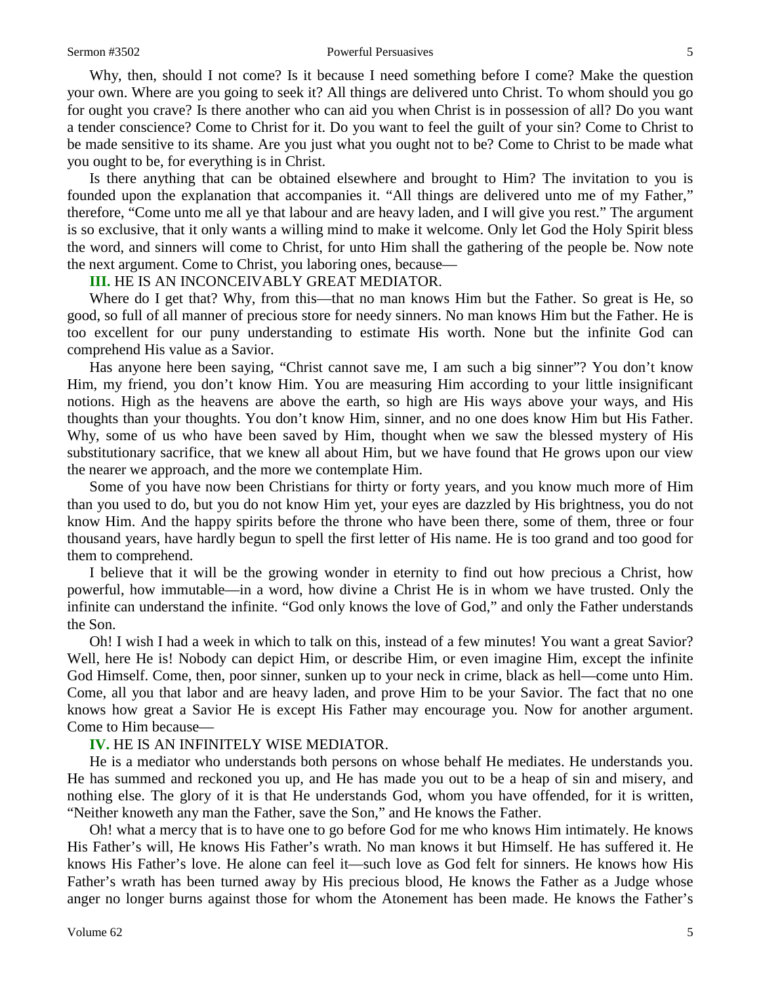#### Sermon #3502 **Powerful Persuasives** 5

Why, then, should I not come? Is it because I need something before I come? Make the question your own. Where are you going to seek it? All things are delivered unto Christ. To whom should you go for ought you crave? Is there another who can aid you when Christ is in possession of all? Do you want a tender conscience? Come to Christ for it. Do you want to feel the guilt of your sin? Come to Christ to be made sensitive to its shame. Are you just what you ought not to be? Come to Christ to be made what you ought to be, for everything is in Christ.

Is there anything that can be obtained elsewhere and brought to Him? The invitation to you is founded upon the explanation that accompanies it. "All things are delivered unto me of my Father," therefore, "Come unto me all ye that labour and are heavy laden, and I will give you rest." The argument is so exclusive, that it only wants a willing mind to make it welcome. Only let God the Holy Spirit bless the word, and sinners will come to Christ, for unto Him shall the gathering of the people be. Now note the next argument. Come to Christ, you laboring ones, because—

#### **III.** HE IS AN INCONCEIVABLY GREAT MEDIATOR.

Where do I get that? Why, from this—that no man knows Him but the Father. So great is He, so good, so full of all manner of precious store for needy sinners. No man knows Him but the Father. He is too excellent for our puny understanding to estimate His worth. None but the infinite God can comprehend His value as a Savior.

Has anyone here been saying, "Christ cannot save me, I am such a big sinner"? You don't know Him, my friend, you don't know Him. You are measuring Him according to your little insignificant notions. High as the heavens are above the earth, so high are His ways above your ways, and His thoughts than your thoughts. You don't know Him, sinner, and no one does know Him but His Father. Why, some of us who have been saved by Him, thought when we saw the blessed mystery of His substitutionary sacrifice, that we knew all about Him, but we have found that He grows upon our view the nearer we approach, and the more we contemplate Him.

Some of you have now been Christians for thirty or forty years, and you know much more of Him than you used to do, but you do not know Him yet, your eyes are dazzled by His brightness, you do not know Him. And the happy spirits before the throne who have been there, some of them, three or four thousand years, have hardly begun to spell the first letter of His name. He is too grand and too good for them to comprehend.

I believe that it will be the growing wonder in eternity to find out how precious a Christ, how powerful, how immutable—in a word, how divine a Christ He is in whom we have trusted. Only the infinite can understand the infinite. "God only knows the love of God," and only the Father understands the Son.

Oh! I wish I had a week in which to talk on this, instead of a few minutes! You want a great Savior? Well, here He is! Nobody can depict Him, or describe Him, or even imagine Him, except the infinite God Himself. Come, then, poor sinner, sunken up to your neck in crime, black as hell—come unto Him. Come, all you that labor and are heavy laden, and prove Him to be your Savior. The fact that no one knows how great a Savior He is except His Father may encourage you. Now for another argument. Come to Him because—

#### **IV.** HE IS AN INFINITELY WISE MEDIATOR.

He is a mediator who understands both persons on whose behalf He mediates. He understands you. He has summed and reckoned you up, and He has made you out to be a heap of sin and misery, and nothing else. The glory of it is that He understands God, whom you have offended, for it is written, "Neither knoweth any man the Father, save the Son," and He knows the Father.

Oh! what a mercy that is to have one to go before God for me who knows Him intimately. He knows His Father's will, He knows His Father's wrath. No man knows it but Himself. He has suffered it. He knows His Father's love. He alone can feel it—such love as God felt for sinners. He knows how His Father's wrath has been turned away by His precious blood, He knows the Father as a Judge whose anger no longer burns against those for whom the Atonement has been made. He knows the Father's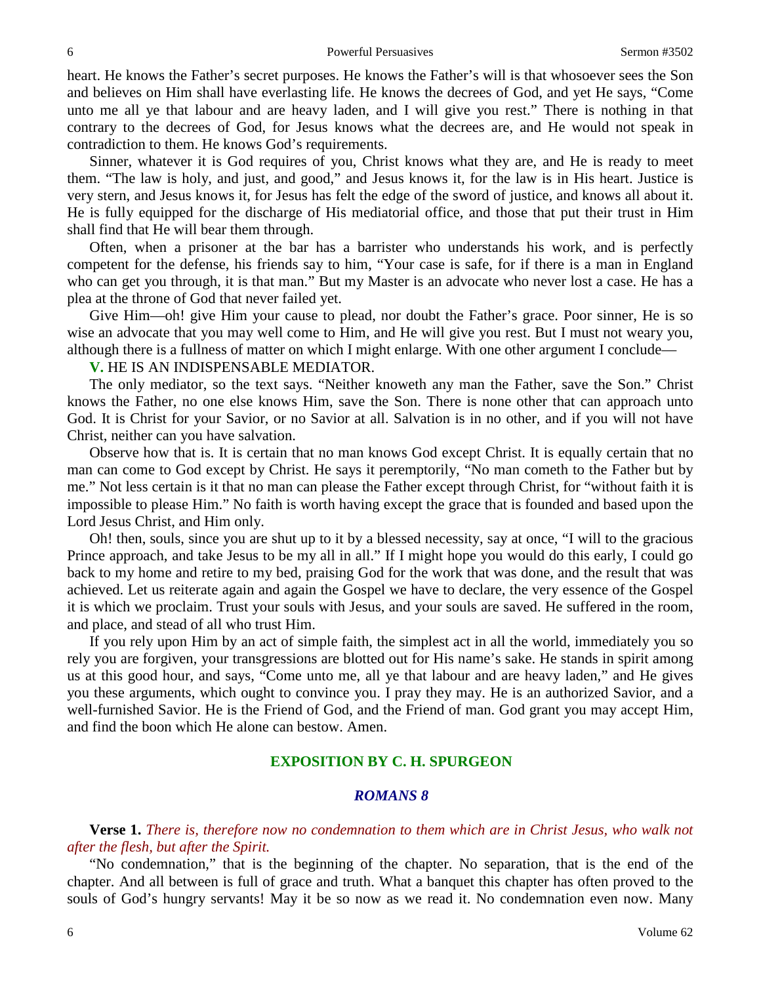heart. He knows the Father's secret purposes. He knows the Father's will is that whosoever sees the Son and believes on Him shall have everlasting life. He knows the decrees of God, and yet He says, "Come unto me all ye that labour and are heavy laden, and I will give you rest." There is nothing in that contrary to the decrees of God, for Jesus knows what the decrees are, and He would not speak in contradiction to them. He knows God's requirements.

Sinner, whatever it is God requires of you, Christ knows what they are, and He is ready to meet them. "The law is holy, and just, and good," and Jesus knows it, for the law is in His heart. Justice is very stern, and Jesus knows it, for Jesus has felt the edge of the sword of justice, and knows all about it. He is fully equipped for the discharge of His mediatorial office, and those that put their trust in Him shall find that He will bear them through.

Often, when a prisoner at the bar has a barrister who understands his work, and is perfectly competent for the defense, his friends say to him, "Your case is safe, for if there is a man in England who can get you through, it is that man." But my Master is an advocate who never lost a case. He has a plea at the throne of God that never failed yet.

Give Him—oh! give Him your cause to plead, nor doubt the Father's grace. Poor sinner, He is so wise an advocate that you may well come to Him, and He will give you rest. But I must not weary you, although there is a fullness of matter on which I might enlarge. With one other argument I conclude—

**V.** HE IS AN INDISPENSABLE MEDIATOR.

The only mediator, so the text says. "Neither knoweth any man the Father, save the Son." Christ knows the Father, no one else knows Him, save the Son. There is none other that can approach unto God. It is Christ for your Savior, or no Savior at all. Salvation is in no other, and if you will not have Christ, neither can you have salvation.

Observe how that is. It is certain that no man knows God except Christ. It is equally certain that no man can come to God except by Christ. He says it peremptorily, "No man cometh to the Father but by me." Not less certain is it that no man can please the Father except through Christ, for "without faith it is impossible to please Him." No faith is worth having except the grace that is founded and based upon the Lord Jesus Christ, and Him only.

Oh! then, souls, since you are shut up to it by a blessed necessity, say at once, "I will to the gracious Prince approach, and take Jesus to be my all in all." If I might hope you would do this early, I could go back to my home and retire to my bed, praising God for the work that was done, and the result that was achieved. Let us reiterate again and again the Gospel we have to declare, the very essence of the Gospel it is which we proclaim. Trust your souls with Jesus, and your souls are saved. He suffered in the room, and place, and stead of all who trust Him.

If you rely upon Him by an act of simple faith, the simplest act in all the world, immediately you so rely you are forgiven, your transgressions are blotted out for His name's sake. He stands in spirit among us at this good hour, and says, "Come unto me, all ye that labour and are heavy laden," and He gives you these arguments, which ought to convince you. I pray they may. He is an authorized Savior, and a well-furnished Savior. He is the Friend of God, and the Friend of man. God grant you may accept Him, and find the boon which He alone can bestow. Amen.

## **EXPOSITION BY C. H. SPURGEON**

#### *ROMANS 8*

**Verse 1.** *There is, therefore now no condemnation to them which are in Christ Jesus, who walk not after the flesh, but after the Spirit.* 

"No condemnation," that is the beginning of the chapter. No separation, that is the end of the chapter. And all between is full of grace and truth. What a banquet this chapter has often proved to the souls of God's hungry servants! May it be so now as we read it. No condemnation even now. Many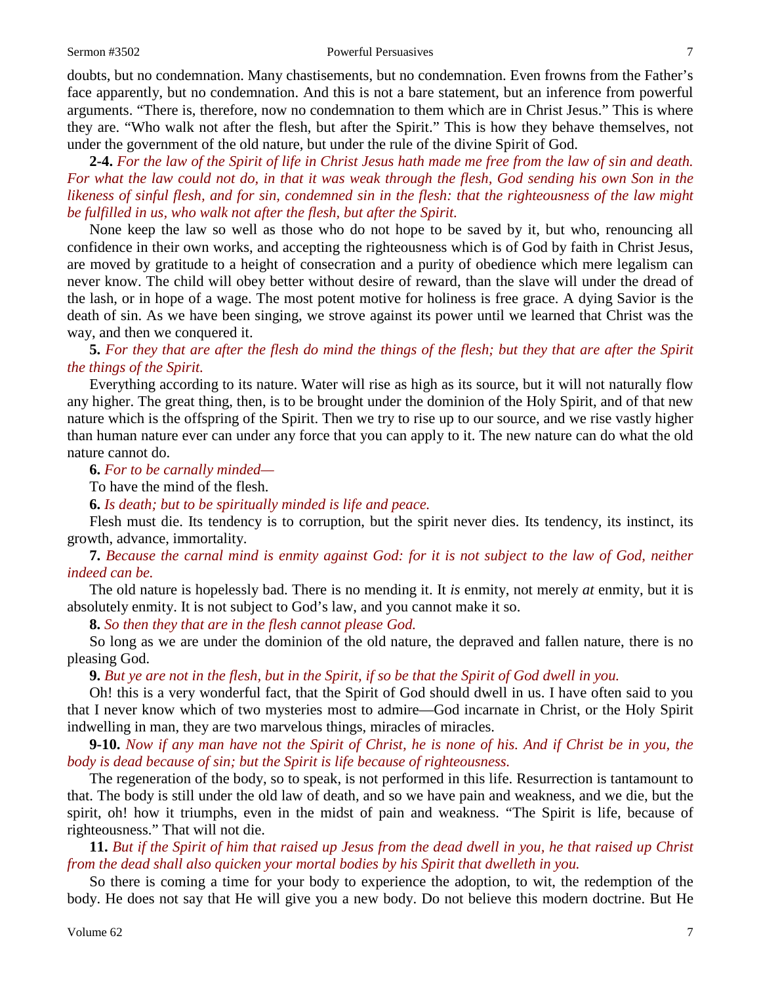#### Sermon #3502 **Powerful Persuasives** 7

doubts, but no condemnation. Many chastisements, but no condemnation. Even frowns from the Father's face apparently, but no condemnation. And this is not a bare statement, but an inference from powerful arguments. "There is, therefore, now no condemnation to them which are in Christ Jesus." This is where they are. "Who walk not after the flesh, but after the Spirit." This is how they behave themselves, not under the government of the old nature, but under the rule of the divine Spirit of God.

**2-4.** *For the law of the Spirit of life in Christ Jesus hath made me free from the law of sin and death. For what the law could not do, in that it was weak through the flesh, God sending his own Son in the likeness of sinful flesh, and for sin, condemned sin in the flesh: that the righteousness of the law might be fulfilled in us, who walk not after the flesh, but after the Spirit.*

None keep the law so well as those who do not hope to be saved by it, but who, renouncing all confidence in their own works, and accepting the righteousness which is of God by faith in Christ Jesus, are moved by gratitude to a height of consecration and a purity of obedience which mere legalism can never know. The child will obey better without desire of reward, than the slave will under the dread of the lash, or in hope of a wage. The most potent motive for holiness is free grace. A dying Savior is the death of sin. As we have been singing, we strove against its power until we learned that Christ was the way, and then we conquered it.

**5.** *For they that are after the flesh do mind the things of the flesh; but they that are after the Spirit the things of the Spirit.*

Everything according to its nature. Water will rise as high as its source, but it will not naturally flow any higher. The great thing, then, is to be brought under the dominion of the Holy Spirit, and of that new nature which is the offspring of the Spirit. Then we try to rise up to our source, and we rise vastly higher than human nature ever can under any force that you can apply to it. The new nature can do what the old nature cannot do.

**6.** *For to be carnally minded—*

To have the mind of the flesh.

**6.** *Is death; but to be spiritually minded is life and peace.*

Flesh must die. Its tendency is to corruption, but the spirit never dies. Its tendency, its instinct, its growth, advance, immortality.

**7.** *Because the carnal mind is enmity against God: for it is not subject to the law of God, neither indeed can be.*

The old nature is hopelessly bad. There is no mending it. It *is* enmity, not merely *at* enmity, but it is absolutely enmity. It is not subject to God's law, and you cannot make it so.

**8.** *So then they that are in the flesh cannot please God.* 

So long as we are under the dominion of the old nature, the depraved and fallen nature, there is no pleasing God.

**9.** *But ye are not in the flesh, but in the Spirit, if so be that the Spirit of God dwell in you.*

Oh! this is a very wonderful fact, that the Spirit of God should dwell in us. I have often said to you that I never know which of two mysteries most to admire—God incarnate in Christ, or the Holy Spirit indwelling in man, they are two marvelous things, miracles of miracles.

**9-10.** *Now if any man have not the Spirit of Christ, he is none of his. And if Christ be in you, the body is dead because of sin; but the Spirit is life because of righteousness.*

The regeneration of the body, so to speak, is not performed in this life. Resurrection is tantamount to that. The body is still under the old law of death, and so we have pain and weakness, and we die, but the spirit, oh! how it triumphs, even in the midst of pain and weakness. "The Spirit is life, because of righteousness." That will not die.

**11.** *But if the Spirit of him that raised up Jesus from the dead dwell in you, he that raised up Christ from the dead shall also quicken your mortal bodies by his Spirit that dwelleth in you.*

So there is coming a time for your body to experience the adoption, to wit, the redemption of the body. He does not say that He will give you a new body. Do not believe this modern doctrine. But He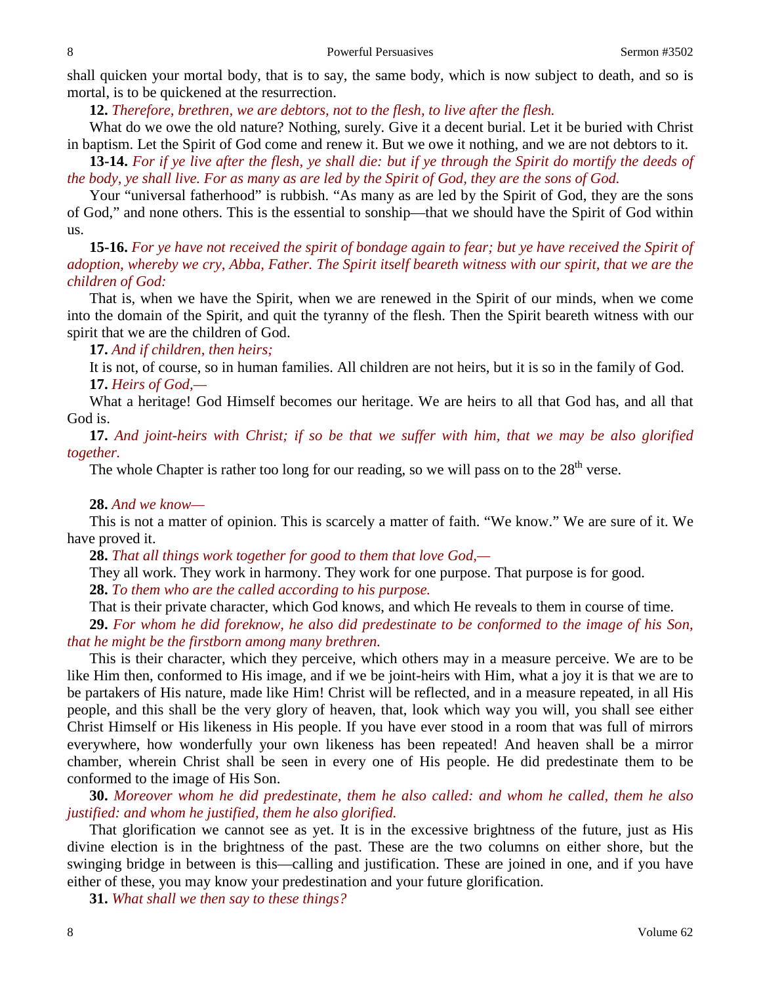shall quicken your mortal body, that is to say, the same body, which is now subject to death, and so is mortal, is to be quickened at the resurrection.

**12.** *Therefore, brethren, we are debtors, not to the flesh, to live after the flesh.*

What do we owe the old nature? Nothing, surely. Give it a decent burial. Let it be buried with Christ in baptism. Let the Spirit of God come and renew it. But we owe it nothing, and we are not debtors to it.

**13-14.** *For if ye live after the flesh, ye shall die: but if ye through the Spirit do mortify the deeds of the body, ye shall live. For as many as are led by the Spirit of God, they are the sons of God.*

Your "universal fatherhood" is rubbish. "As many as are led by the Spirit of God, they are the sons of God," and none others. This is the essential to sonship—that we should have the Spirit of God within us.

**15-16.** *For ye have not received the spirit of bondage again to fear; but ye have received the Spirit of adoption, whereby we cry, Abba, Father. The Spirit itself beareth witness with our spirit, that we are the children of God:*

That is, when we have the Spirit, when we are renewed in the Spirit of our minds, when we come into the domain of the Spirit, and quit the tyranny of the flesh. Then the Spirit beareth witness with our spirit that we are the children of God.

**17.** *And if children, then heirs;*

It is not, of course, so in human families. All children are not heirs, but it is so in the family of God. **17.** *Heirs of God,—*

What a heritage! God Himself becomes our heritage. We are heirs to all that God has, and all that God is.

**17.** *And joint-heirs with Christ; if so be that we suffer with him, that we may be also glorified together.*

The whole Chapter is rather too long for our reading, so we will pass on to the  $28<sup>th</sup>$  verse.

## **28.** *And we know—*

This is not a matter of opinion. This is scarcely a matter of faith. "We know." We are sure of it. We have proved it.

**28.** *That all things work together for good to them that love God,—*

They all work. They work in harmony. They work for one purpose. That purpose is for good.

**28.** *To them who are the called according to his purpose.*

That is their private character, which God knows, and which He reveals to them in course of time.

**29.** *For whom he did foreknow, he also did predestinate to be conformed to the image of his Son, that he might be the firstborn among many brethren.*

This is their character, which they perceive, which others may in a measure perceive. We are to be like Him then, conformed to His image, and if we be joint-heirs with Him, what a joy it is that we are to be partakers of His nature, made like Him! Christ will be reflected, and in a measure repeated, in all His people, and this shall be the very glory of heaven, that, look which way you will, you shall see either Christ Himself or His likeness in His people. If you have ever stood in a room that was full of mirrors everywhere, how wonderfully your own likeness has been repeated! And heaven shall be a mirror chamber, wherein Christ shall be seen in every one of His people. He did predestinate them to be conformed to the image of His Son.

**30.** *Moreover whom he did predestinate, them he also called: and whom he called, them he also justified: and whom he justified, them he also glorified.*

That glorification we cannot see as yet. It is in the excessive brightness of the future, just as His divine election is in the brightness of the past. These are the two columns on either shore, but the swinging bridge in between is this—calling and justification. These are joined in one, and if you have either of these, you may know your predestination and your future glorification.

**31.** *What shall we then say to these things?*